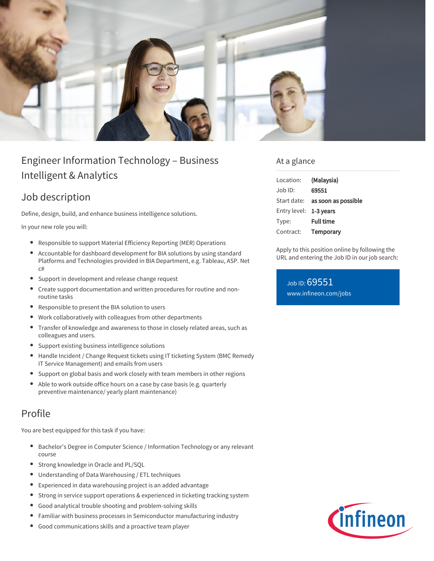

# Engineer Information Technology – Business Intelligent & Analytics

## Job description

Define, design, build, and enhance business intelligence solutions.

In your new role you will:

- Responsible to support Material Efficiency Reporting (MER) Operations
- Accountable for dashboard development for BIA solutions by using standard Platforms and Technologies provided in BIA Department, e.g. Tableau, ASP. Net c#
- Support in development and release change request
- $\bullet$ Create support documentation and written procedures for routine and nonroutine tasks
- Responsible to present the BIA solution to users
- Work collaboratively with colleagues from other departments
- Transfer of knowledge and awareness to those in closely related areas, such as  $\bullet$ colleagues and users.
- Support existing business intelligence solutions
- Handle Incident / Change Request tickets using IT ticketing System (BMC Remedy IT Service Management) and emails from users
- Support on global basis and work closely with team members in other regions
- Able to work outside office hours on a case by case basis (e.g. quarterly preventive maintenance/ yearly plant maintenance)

### Profile

You are best equipped for this task if you have:

- Bachelor's Degree in Computer Science / Information Technology or any relevant course
- Strong knowledge in Oracle and PL/SQL
- Understanding of Data Warehousing / ETL techniques
- Experienced in data warehousing project is an added advantage
- Strong in service support operations & experienced in ticketing tracking system
- Good analytical trouble shooting and problem-solving skills
- Familiar with business processes in Semiconductor manufacturing industry  $\bullet$
- Good communications skills and a proactive team player

### At a glance

| Location:              | (Malaysia)                             |
|------------------------|----------------------------------------|
| $Job$ ID:              | 69551                                  |
|                        | Start date: <b>as soon as possible</b> |
| Entry level: 1-3 years |                                        |
| Type:                  | <b>Full time</b>                       |
| Contract:              | Temporary                              |

Apply to this position online by following the URL and entering the Job ID in our job search:

Job ID: 69551 [www.infineon.com/jobs](https://www.infineon.com/jobs)